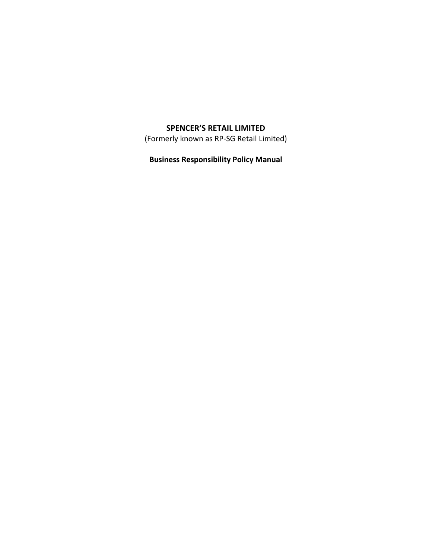# **SPENCER'S RETAIL LIMITED**

(Formerly known as RP-SG Retail Limited)

**Business Responsibility Policy Manual**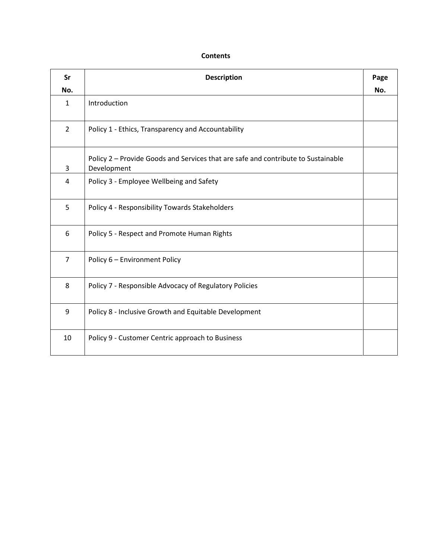# **Contents**

| <b>Sr</b>      | <b>Description</b>                                                                               | Page |
|----------------|--------------------------------------------------------------------------------------------------|------|
| No.            |                                                                                                  | No.  |
| $\mathbf{1}$   | Introduction                                                                                     |      |
| $\overline{2}$ | Policy 1 - Ethics, Transparency and Accountability                                               |      |
| 3              | Policy 2 - Provide Goods and Services that are safe and contribute to Sustainable<br>Development |      |
| 4              | Policy 3 - Employee Wellbeing and Safety                                                         |      |
| 5              | Policy 4 - Responsibility Towards Stakeholders                                                   |      |
| 6              | Policy 5 - Respect and Promote Human Rights                                                      |      |
| $\overline{7}$ | Policy 6 - Environment Policy                                                                    |      |
| 8              | Policy 7 - Responsible Advocacy of Regulatory Policies                                           |      |
| 9              | Policy 8 - Inclusive Growth and Equitable Development                                            |      |
| 10             | Policy 9 - Customer Centric approach to Business                                                 |      |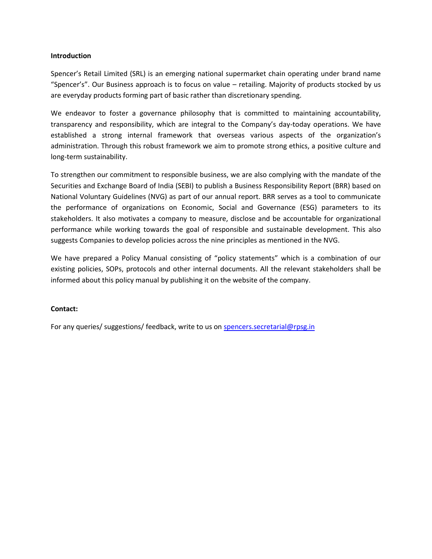### **Introduction**

Spencer's Retail Limited (SRL) is an emerging national supermarket chain operating under brand name "Spencer's". Our Business approach is to focus on value – retailing. Majority of products stocked by us are everyday products forming part of basic rather than discretionary spending.

We endeavor to foster a governance philosophy that is committed to maintaining accountability, transparency and responsibility, which are integral to the Company's day-today operations. We have established a strong internal framework that overseas various aspects of the organization's administration. Through this robust framework we aim to promote strong ethics, a positive culture and long-term sustainability.

To strengthen our commitment to responsible business, we are also complying with the mandate of the Securities and Exchange Board of India (SEBI) to publish a Business Responsibility Report (BRR) based on National Voluntary Guidelines (NVG) as part of our annual report. BRR serves as a tool to communicate the performance of organizations on Economic, Social and Governance (ESG) parameters to its stakeholders. It also motivates a company to measure, disclose and be accountable for organizational performance while working towards the goal of responsible and sustainable development. This also suggests Companies to develop policies across the nine principles as mentioned in the NVG.

We have prepared a Policy Manual consisting of "policy statements" which is a combination of our existing policies, SOPs, protocols and other internal documents. All the relevant stakeholders shall be informed about this policy manual by publishing it on the website of the company.

# **Contact:**

For any queries/ suggestions/ feedback, write to us on spencers.secretarial@rpsg.in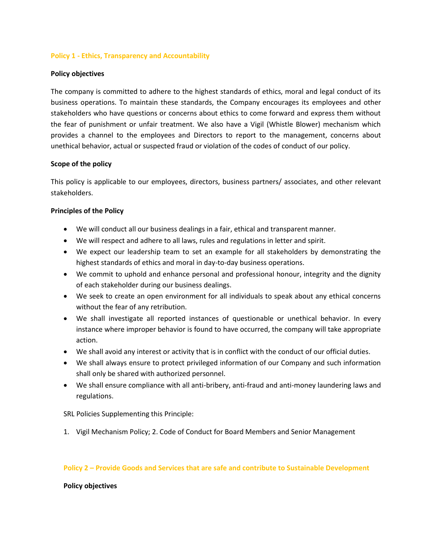# **Policy 1 - Ethics, Transparency and Accountability**

# **Policy objectives**

The company is committed to adhere to the highest standards of ethics, moral and legal conduct of its business operations. To maintain these standards, the Company encourages its employees and other stakeholders who have questions or concerns about ethics to come forward and express them without the fear of punishment or unfair treatment. We also have a Vigil (Whistle Blower) mechanism which provides a channel to the employees and Directors to report to the management, concerns about unethical behavior, actual or suspected fraud or violation of the codes of conduct of our policy.

# **Scope of the policy**

This policy is applicable to our employees, directors, business partners/ associates, and other relevant stakeholders.

# **Principles of the Policy**

- We will conduct all our business dealings in a fair, ethical and transparent manner.
- We will respect and adhere to all laws, rules and regulations in letter and spirit.
- We expect our leadership team to set an example for all stakeholders by demonstrating the highest standards of ethics and moral in day-to-day business operations.
- We commit to uphold and enhance personal and professional honour, integrity and the dignity of each stakeholder during our business dealings.
- We seek to create an open environment for all individuals to speak about any ethical concerns without the fear of any retribution.
- We shall investigate all reported instances of questionable or unethical behavior. In every instance where improper behavior is found to have occurred, the company will take appropriate action.
- We shall avoid any interest or activity that is in conflict with the conduct of our official duties.
- We shall always ensure to protect privileged information of our Company and such information shall only be shared with authorized personnel.
- We shall ensure compliance with all anti-bribery, anti-fraud and anti-money laundering laws and regulations.

SRL Policies Supplementing this Principle:

1. Vigil Mechanism Policy; 2. Code of Conduct for Board Members and Senior Management

# **Policy 2 – Provide Goods and Services that are safe and contribute to Sustainable Development**

#### **Policy objectives**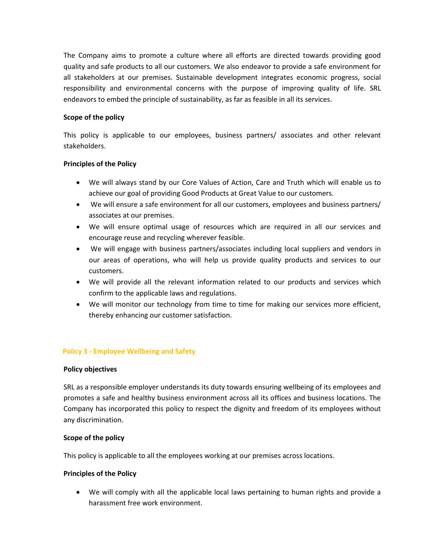The Company aims to promote a culture where all efforts are directed towards providing good quality and safe products to all our customers. We also endeavor to provide a safe environment for all stakeholders at our premises. Sustainable development integrates economic progress, social responsibility and environmental concerns with the purpose of improving quality of life. SRL endeavors to embed the principle of sustainability, as far as feasible in all its services.

# **Scope of the policy**

This policy is applicable to our employees, business partners/ associates and other relevant stakeholders.

# **Principles of the Policy**

- We will always stand by our Core Values of Action, Care and Truth which will enable us to achieve our goal of providing Good Products at Great Value to our customers.
- We will ensure a safe environment for all our customers, employees and business partners/ associates at our premises.
- We will ensure optimal usage of resources which are required in all our services and encourage reuse and recycling wherever feasible.
- We will engage with business partners/associates including local suppliers and vendors in our areas of operations, who will help us provide quality products and services to our customers.
- We will provide all the relevant information related to our products and services which confirm to the applicable laws and regulations.
- We will monitor our technology from time to time for making our services more efficient, thereby enhancing our customer satisfaction.

# **Policy 3 - Employee Wellbeing and Safety**

# **Policy objectives**

SRL as a responsible employer understands its duty towards ensuring wellbeing of its employees and promotes a safe and healthy business environment across all its offices and business locations. The Company has incorporated this policy to respect the dignity and freedom of its employees without any discrimination.

# **Scope of the policy**

This policy is applicable to all the employees working at our premises across locations.

# **Principles of the Policy**

 We will comply with all the applicable local laws pertaining to human rights and provide a harassment free work environment.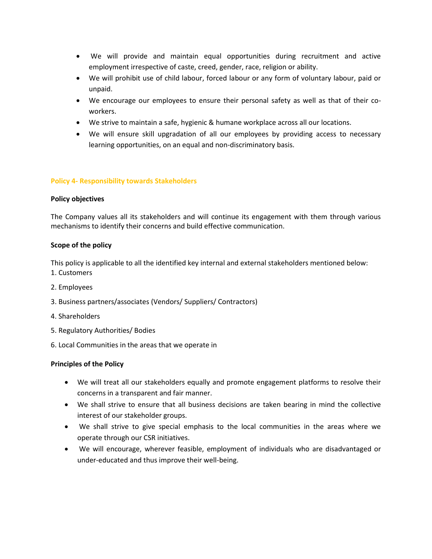- We will provide and maintain equal opportunities during recruitment and active employment irrespective of caste, creed, gender, race, religion or ability.
- We will prohibit use of child labour, forced labour or any form of voluntary labour, paid or unpaid.
- We encourage our employees to ensure their personal safety as well as that of their coworkers.
- We strive to maintain a safe, hygienic & humane workplace across all our locations.
- We will ensure skill upgradation of all our employees by providing access to necessary learning opportunities, on an equal and non-discriminatory basis.

# **Policy 4- Responsibility towards Stakeholders**

#### **Policy objectives**

The Company values all its stakeholders and will continue its engagement with them through various mechanisms to identify their concerns and build effective communication.

# **Scope of the policy**

This policy is applicable to all the identified key internal and external stakeholders mentioned below:

- 1. Customers
- 2. Employees
- 3. Business partners/associates (Vendors/ Suppliers/ Contractors)
- 4. Shareholders
- 5. Regulatory Authorities/ Bodies
- 6. Local Communities in the areas that we operate in

# **Principles of the Policy**

- We will treat all our stakeholders equally and promote engagement platforms to resolve their concerns in a transparent and fair manner.
- We shall strive to ensure that all business decisions are taken bearing in mind the collective interest of our stakeholder groups.
- We shall strive to give special emphasis to the local communities in the areas where we operate through our CSR initiatives.
- We will encourage, wherever feasible, employment of individuals who are disadvantaged or under-educated and thus improve their well-being.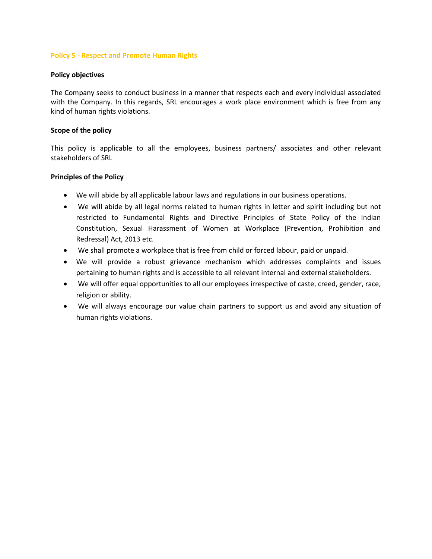# **Policy 5 - Respect and Promote Human Rights**

### **Policy objectives**

The Company seeks to conduct business in a manner that respects each and every individual associated with the Company. In this regards, SRL encourages a work place environment which is free from any kind of human rights violations.

# **Scope of the policy**

This policy is applicable to all the employees, business partners/ associates and other relevant stakeholders of SRL

# **Principles of the Policy**

- We will abide by all applicable labour laws and regulations in our business operations.
- We will abide by all legal norms related to human rights in letter and spirit including but not restricted to Fundamental Rights and Directive Principles of State Policy of the Indian Constitution, Sexual Harassment of Women at Workplace (Prevention, Prohibition and Redressal) Act, 2013 etc.
- We shall promote a workplace that is free from child or forced labour, paid or unpaid.
- We will provide a robust grievance mechanism which addresses complaints and issues pertaining to human rights and is accessible to all relevant internal and external stakeholders.
- We will offer equal opportunities to all our employees irrespective of caste, creed, gender, race, religion or ability.
- We will always encourage our value chain partners to support us and avoid any situation of human rights violations.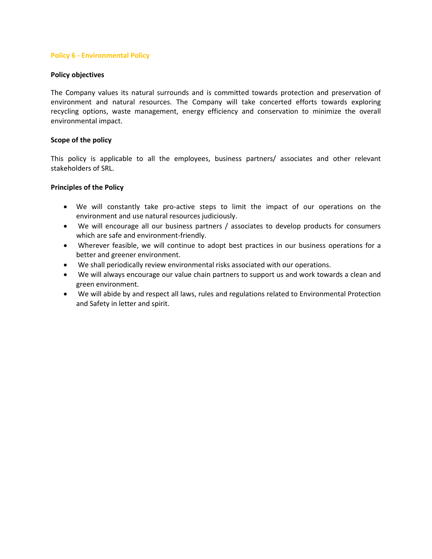# **Policy 6 - Environmental Policy**

### **Policy objectives**

The Company values its natural surrounds and is committed towards protection and preservation of environment and natural resources. The Company will take concerted efforts towards exploring recycling options, waste management, energy efficiency and conservation to minimize the overall environmental impact.

# **Scope of the policy**

This policy is applicable to all the employees, business partners/ associates and other relevant stakeholders of SRL.

# **Principles of the Policy**

- We will constantly take pro-active steps to limit the impact of our operations on the environment and use natural resources judiciously.
- We will encourage all our business partners / associates to develop products for consumers which are safe and environment-friendly.
- Wherever feasible, we will continue to adopt best practices in our business operations for a better and greener environment.
- We shall periodically review environmental risks associated with our operations.
- We will always encourage our value chain partners to support us and work towards a clean and green environment.
- We will abide by and respect all laws, rules and regulations related to Environmental Protection and Safety in letter and spirit.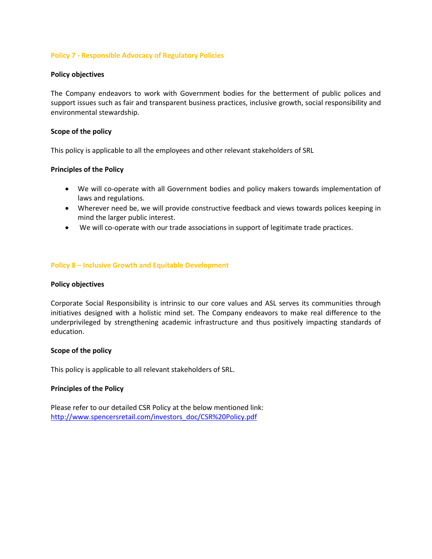# **Policy 7 - Responsible Advocacy of Regulatory Policies**

### **Policy objectives**

The Company endeavors to work with Government bodies for the betterment of public polices and support issues such as fair and transparent business practices, inclusive growth, social responsibility and environmental stewardship.

### **Scope of the policy**

This policy is applicable to all the employees and other relevant stakeholders of SRL

# **Principles of the Policy**

- We will co-operate with all Government bodies and policy makers towards implementation of laws and regulations.
- Wherever need be, we will provide constructive feedback and views towards polices keeping in mind the larger public interest.
- We will co-operate with our trade associations in support of legitimate trade practices.

# **Policy 8 – Inclusive Growth and Equitable Development**

#### **Policy objectives**

Corporate Social Responsibility is intrinsic to our core values and ASL serves its communities through initiatives designed with a holistic mind set. The Company endeavors to make real difference to the underprivileged by strengthening academic infrastructure and thus positively impacting standards of education.

#### **Scope of the policy**

This policy is applicable to all relevant stakeholders of SRL.

# **Principles of the Policy**

Please refer to our detailed CSR Policy at the below mentioned link: [http://www.spencersretail.com/investors\\_doc/CSR%20Policy.pdf](http://www.spencersretail.com/investors_doc/CSR%20Policy.pdf)